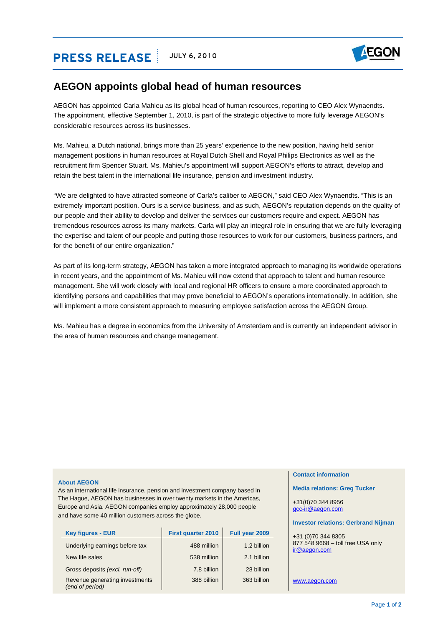# **PRESS RELEASE** JULY 6, 2010



## **AEGON appoints global head of human resources**

AEGON has appointed Carla Mahieu as its global head of human resources, reporting to CEO Alex Wynaendts. The appointment, effective September 1, 2010, is part of the strategic objective to more fully leverage AEGON's considerable resources across its businesses.

Ms. Mahieu, a Dutch national, brings more than 25 years' experience to the new position, having held senior management positions in human resources at Royal Dutch Shell and Royal Philips Electronics as well as the recruitment firm Spencer Stuart. Ms. Mahieu's appointment will support AEGON's efforts to attract, develop and retain the best talent in the international life insurance, pension and investment industry.

"We are delighted to have attracted someone of Carla's caliber to AEGON," said CEO Alex Wynaendts. "This is an extremely important position. Ours is a service business, and as such, AEGON's reputation depends on the quality of our people and their ability to develop and deliver the services our customers require and expect. AEGON has tremendous resources across its many markets. Carla will play an integral role in ensuring that we are fully leveraging the expertise and talent of our people and putting those resources to work for our customers, business partners, and for the benefit of our entire organization."

As part of its long-term strategy, AEGON has taken a more integrated approach to managing its worldwide operations in recent years, and the appointment of Ms. Mahieu will now extend that approach to talent and human resource management. She will work closely with local and regional HR officers to ensure a more coordinated approach to identifying persons and capabilities that may prove beneficial to AEGON's operations internationally. In addition, she will implement a more consistent approach to measuring employee satisfaction across the AEGON Group.

Ms. Mahieu has a degree in economics from the University of Amsterdam and is currently an independent advisor in the area of human resources and change management.

### **About AEGON**

As an international life insurance, pension and investment company based in The Hague, AEGON has businesses in over twenty markets in the Americas, Europe and Asia. AEGON companies employ approximately 28,000 people and have some 40 million customers across the globe.

| <b>Key figures - EUR</b>                          | <b>First quarter 2010</b> | Full year 2009 |
|---------------------------------------------------|---------------------------|----------------|
| Underlying earnings before tax                    | 488 million               | 1.2 billion    |
| New life sales                                    | 538 million               | 2.1 billion    |
| Gross deposits (excl. run-off)                    | 7.8 billion               | 28 billion     |
| Revenue generating investments<br>(end of period) | 388 billion               | 363 billion    |

#### **Contact information**

**Media relations: Greg Tucker** 

+31(0)70 344 8956 [gcc-ir@aegon.com](mailto:gcc-ir@aegon.com)

#### **Investor relations: Gerbrand Nijman**

+31 (0)70 344 8305 877 548 9668 – toll free USA only [ir@aegon.com](mailto:ir@aegon.com) 

[www.aegon.com](http://www.aegon.com/)